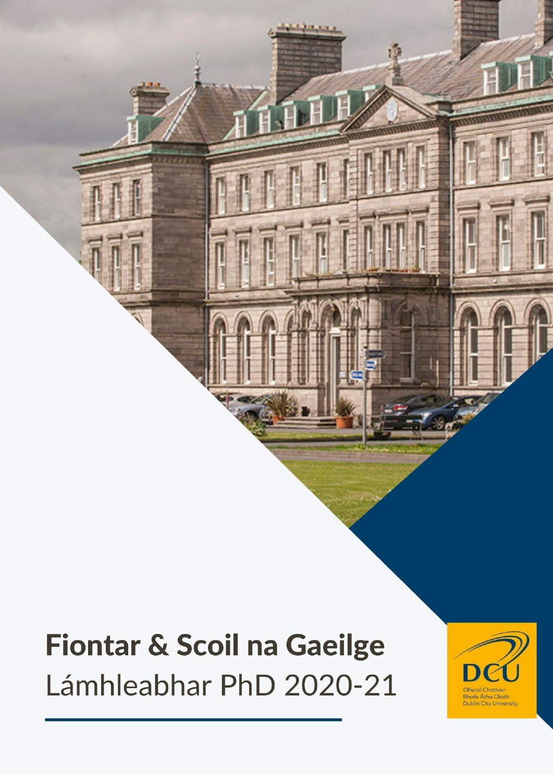# **Fiontar & Scoil na Gaeilge** Lámhleabhar PhD 2020-21

**SILLER** 

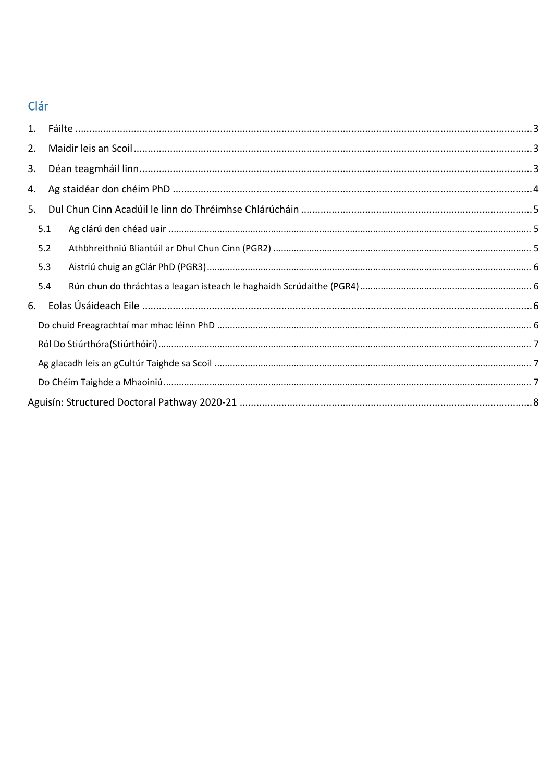# Clár

| 2. |     |  |  |
|----|-----|--|--|
| 3. |     |  |  |
| 4. |     |  |  |
| 5. |     |  |  |
|    | 5.1 |  |  |
|    | 5.2 |  |  |
|    | 5.3 |  |  |
|    | 5.4 |  |  |
| 6. |     |  |  |
|    |     |  |  |
|    |     |  |  |
|    |     |  |  |
|    |     |  |  |
|    |     |  |  |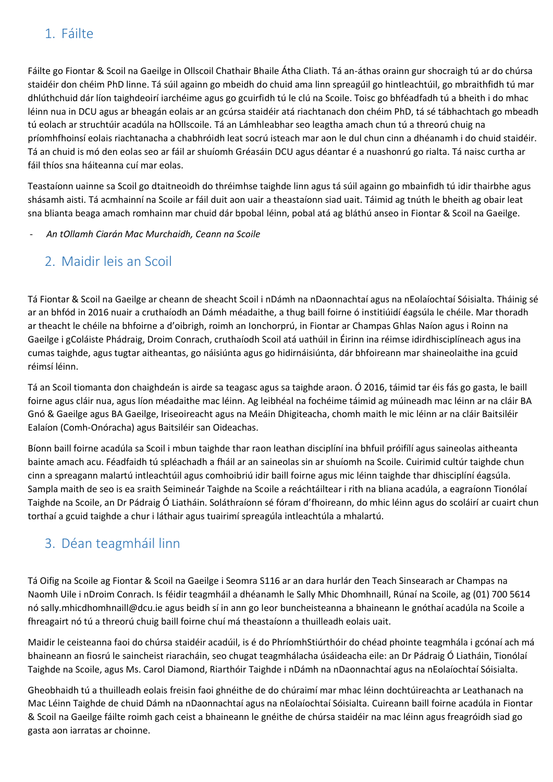# <span id="page-2-0"></span>1. Fáilte

Fáilte go Fiontar & Scoil na Gaeilge in Ollscoil Chathair Bhaile Átha Cliath. Tá an-áthas orainn gur shocraigh tú ar do chúrsa staidéir don chéim PhD linne. Tá súil againn go mbeidh do chuid ama linn spreagúil go hintleachtúil, go mbraithfidh tú mar dhlúthchuid dár líon taighdeoirí iarchéime agus go gcuirfidh tú le clú na Scoile. Toisc go bhféadfadh tú a bheith i do mhac léinn nua in DCU agus ar bheagán eolais ar an gcúrsa staidéir atá riachtanach don chéim PhD, tá sé tábhachtach go mbeadh tú eolach ar struchtúir acadúla na hOllscoile. Tá an Lámhleabhar seo leagtha amach chun tú a threorú chuig na príomhfhoinsí eolais riachtanacha a chabhróidh leat socrú isteach mar aon le dul chun cinn a dhéanamh i do chuid staidéir. Tá an chuid is mó den eolas seo ar fáil ar shuíomh Gréasáin DCU agus déantar é a nuashonrú go rialta. Tá naisc curtha ar fáil thíos sna háiteanna cuí mar eolas.

Teastaíonn uainne sa Scoil go dtaitneoidh do thréimhse taighde linn agus tá súil againn go mbainfidh tú idir thairbhe agus shásamh aisti. Tá acmhainní na Scoile ar fáil duit aon uair a theastaíonn siad uait. Táimid ag tnúth le bheith ag obair leat sna blianta beaga amach romhainn mar chuid dár bpobal léinn, pobal atá ag bláthú anseo in Fiontar & Scoil na Gaeilge.

#### <span id="page-2-1"></span>- *An tOllamh Ciarán Mac Murchaidh, Ceann na Scoile*

### 2. Maidir leis an Scoil

Tá Fiontar & Scoil na Gaeilge ar cheann de sheacht Scoil i nDámh na nDaonnachtaí agus na nEolaíochtaí Sóisialta. Tháinig sé ar an bhfód in 2016 nuair a cruthaíodh an Dámh méadaithe, a thug baill foirne ó institiúidí éagsúla le chéile. Mar thoradh ar theacht le chéile na bhfoirne a d'oibrigh, roimh an Ionchorprú, in Fiontar ar Champas Ghlas Naíon agus i Roinn na Gaeilge i gColáiste Phádraig, Droim Conrach, cruthaíodh Scoil atá uathúil in Éirinn ina réimse idirdhisciplíneach agus ina cumas taighde, agus tugtar aitheantas, go náisiúnta agus go hidirnáisiúnta, dár bhfoireann mar shaineolaithe ina gcuid réimsí léinn.

Tá an Scoil tiomanta don chaighdeán is airde sa teagasc agus sa taighde araon. Ó 2016, táimid tar éis fás go gasta, le baill foirne agus cláir nua, agus líon méadaithe mac léinn. Ag leibhéal na fochéime táimid ag múineadh mac léinn ar na cláir BA Gnó & Gaeilge agus BA Gaeilge, Iriseoireacht agus na Meáin Dhigiteacha, chomh maith le mic léinn ar na cláir Baitsiléir Ealaíon (Comh-Onóracha) agus Baitsiléir san Oideachas.

Bíonn baill foirne acadúla sa Scoil i mbun taighde thar raon leathan disciplíní ina bhfuil próifílí agus saineolas aitheanta bainte amach acu. Féadfaidh tú spléachadh a fháil ar an saineolas sin ar shuíomh na Scoile. Cuirimid cultúr taighde chun cinn a spreagann malartú intleachtúil agus comhoibriú idir baill foirne agus mic léinn taighde thar dhisciplíní éagsúla. Sampla maith de seo is ea sraith Seimineár Taighde na Scoile a reáchtáiltear i rith na bliana acadúla, a eagraíonn Tionólaí Taighde na Scoile, an Dr Pádraig Ó Liatháin. Soláthraíonn sé fóram d'fhoireann, do mhic léinn agus do scoláirí ar cuairt chun torthaí a gcuid taighde a chur i láthair agus tuairimí spreagúla intleachtúla a mhalartú.

# <span id="page-2-2"></span>3. Déan teagmháil linn

Tá Oifig na Scoile ag Fiontar & Scoil na Gaeilge i Seomra S116 ar an dara hurlár den Teach Sinsearach ar Champas na Naomh Uile i nDroim Conrach. Is féidir teagmháil a dhéanamh le Sally Mhic Dhomhnaill, Rúnaí na Scoile, ag (01) 700 5614 nó sally.mhicdhomhnaill@dcu.ie agus beidh sí in ann go leor buncheisteanna a bhaineann le gnóthaí acadúla na Scoile a fhreagairt nó tú a threorú chuig baill foirne chuí má theastaíonn a thuilleadh eolais uait.

Maidir le ceisteanna faoi do chúrsa staidéir acadúil, is é do PhríomhStiúrthóir do chéad phointe teagmhála i gcónaí ach má bhaineann an fiosrú le saincheist riaracháin, seo chugat teagmhálacha úsáideacha eile: an Dr Pádraig Ó Liatháin, Tionólaí Taighde na Scoile, agus Ms. Carol Diamond, Riarthóir Taighde i nDámh na nDaonnachtaí agus na nEolaíochtaí Sóisialta.

Gheobhaidh tú a thuilleadh eolais freisin faoi ghnéithe de do chúraimí mar mhac léinn dochtúireachta ar Leathanach na Mac Léinn Taighde de chuid Dámh na nDaonnachtaí agus na nEolaíochtaí Sóisialta. Cuireann baill foirne acadúla in Fiontar & Scoil na Gaeilge fáilte roimh gach ceist a bhaineann le gnéithe de chúrsa staidéir na mac léinn agus freagróidh siad go gasta aon iarratas ar choinne.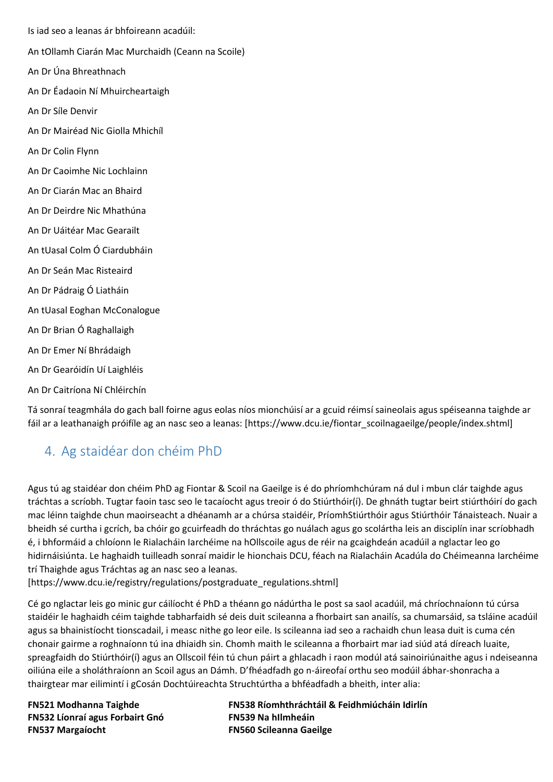Is iad seo a leanas ár bhfoireann acadúil: An tOllamh Ciarán Mac Murchaidh (Ceann na Scoile) An Dr Úna Bhreathnach An Dr Éadaoin Ní Mhuircheartaigh An Dr Síle Denvir An Dr Mairéad Nic Giolla Mhichíl An Dr Colin Flynn An Dr Caoimhe Nic Lochlainn An Dr Ciarán Mac an Bhaird An Dr Deirdre Nic Mhathúna An Dr Uáitéar Mac Gearailt An tUasal Colm Ó Ciardubháin An Dr Seán Mac Risteaird An Dr Pádraig Ó Liatháin An tUasal Eoghan McConalogue An Dr Brian Ó Raghallaigh An Dr Emer Ní Bhrádaigh An Dr Gearóidín Uí Laighléis An Dr Caitríona Ní Chléirchín

Tá sonraí teagmhála do gach ball foirne agus eolas níos mionchúisí ar a gcuid réimsí saineolais agus spéiseanna taighde ar fáil ar a leathanaigh próifíle ag an nasc seo a leanas: [https://www.dcu.ie/fiontar\_scoilnagaeilge/people/index.shtml]

# <span id="page-3-0"></span>4. Ag staidéar don chéim PhD

Agus tú ag staidéar don chéim PhD ag Fiontar & Scoil na Gaeilge is é do phríomhchúram ná dul i mbun clár taighde agus tráchtas a scríobh. Tugtar faoin tasc seo le tacaíocht agus treoir ó do Stiúrthóir(í). De ghnáth tugtar beirt stiúrthóirí do gach mac léinn taighde chun maoirseacht a dhéanamh ar a chúrsa staidéir, PríomhStiúrthóir agus Stiúrthóir Tánaisteach. Nuair a bheidh sé curtha i gcrích, ba chóir go gcuirfeadh do thráchtas go nuálach agus go scolártha leis an disciplín inar scríobhadh é, i bhformáid a chloíonn le Rialacháin Iarchéime na hOllscoile agus de réir na gcaighdeán acadúil a nglactar leo go hidirnáisiúnta. Le haghaidh tuilleadh sonraí maidir le hionchais DCU, féach na Rialacháin Acadúla do Chéimeanna Iarchéime trí Thaighde agus Tráchtas ag an nasc seo a leanas.

[https://www.dcu.ie/registry/regulations/postgraduate\_regulations.shtml]

Cé go nglactar leis go minic gur cáilíocht é PhD a théann go nádúrtha le post sa saol acadúil, má chríochnaíonn tú cúrsa staidéir le haghaidh céim taighde tabharfaidh sé deis duit scileanna a fhorbairt san anailís, sa chumarsáid, sa tsláine acadúil agus sa bhainistíocht tionscadail, i measc nithe go leor eile. Is scileanna iad seo a rachaidh chun leasa duit is cuma cén chonair gairme a roghnaíonn tú ina dhiaidh sin. Chomh maith le scileanna a fhorbairt mar iad siúd atá díreach luaite, spreagfaidh do Stiúrthóir(í) agus an Ollscoil féin tú chun páirt a ghlacadh i raon modúl atá sainoiriúnaithe agus i ndeiseanna oiliúna eile a sholáthraíonn an Scoil agus an Dámh. D'fhéadfadh go n-áireofaí orthu seo modúil ábhar-shonracha a thairgtear mar eilimintí i gCosán Dochtúireachta Struchtúrtha a bhféadfadh a bheith, inter alia:

**FN532 Líonraí agus Forbairt Gnó FN539 Na hIlmheáin FN537 Margaíocht FN560 Scileanna Gaeilge**

**FN521 Modhanna Taighde FN538 Ríomhthráchtáil & Feidhmiúcháin Idirlín**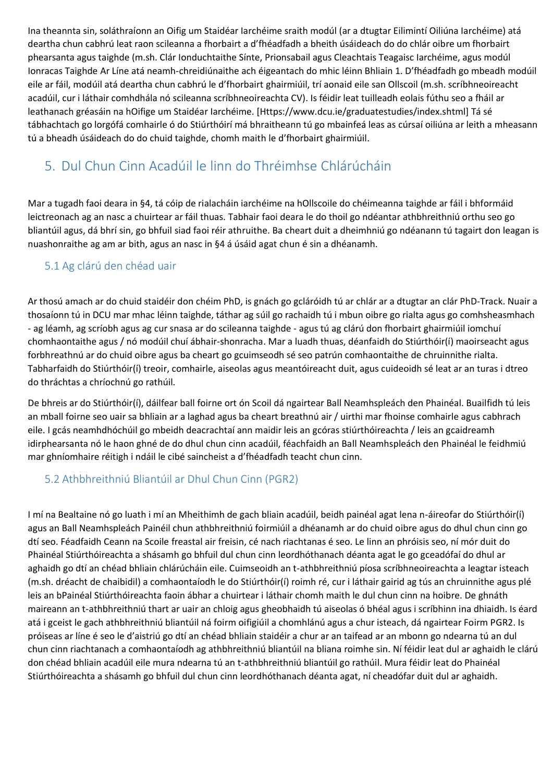Ina theannta sin, soláthraíonn an Oifig um Staidéar Iarchéime sraith modúl (ar a dtugtar Eilimintí Oiliúna Iarchéime) atá deartha chun cabhrú leat raon scileanna a fhorbairt a d'fhéadfadh a bheith úsáideach do do chlár oibre um fhorbairt phearsanta agus taighde (m.sh. Clár Ionduchtaithe Sínte, Prionsabail agus Cleachtais Teagaisc Iarchéime, agus modúl Ionracas Taighde Ar Líne atá neamh-chreidiúnaithe ach éigeantach do mhic léinn Bhliain 1. D'fhéadfadh go mbeadh modúil eile ar fáil, modúil atá deartha chun cabhrú le d'fhorbairt ghairmiúil, trí aonaid eile san Ollscoil (m.sh. scríbhneoireacht acadúil, cur i láthair comhdhála nó scileanna scríbhneoireachta CV). Is féidir leat tuilleadh eolais fúthu seo a fháil ar leathanach gréasáin na hOifige um Staidéar Iarchéime. [Https://www.dcu.ie/graduatestudies/index.shtml] Tá sé tábhachtach go lorgófá comhairle ó do Stiúrthóirí má bhraitheann tú go mbainfeá leas as cúrsaí oiliúna ar leith a mheasann tú a bheadh úsáideach do do chuid taighde, chomh maith le d'fhorbairt ghairmiúil.

# <span id="page-4-0"></span>5. Dul Chun Cinn Acadúil le linn do Thréimhse Chlárúcháin

Mar a tugadh faoi deara in §4, tá cóip de rialacháin iarchéime na hOllscoile do chéimeanna taighde ar fáil i bhformáid leictreonach ag an nasc a chuirtear ar fáil thuas. Tabhair faoi deara le do thoil go ndéantar athbhreithniú orthu seo go bliantúil agus, dá bhrí sin, go bhfuil siad faoi réir athruithe. Ba cheart duit a dheimhniú go ndéanann tú tagairt don leagan is nuashonraithe ag am ar bith, agus an nasc in §4 á úsáid agat chun é sin a dhéanamh.

#### <span id="page-4-1"></span>5.1 Ag clárú den chéad uair

Ar thosú amach ar do chuid staidéir don chéim PhD, is gnách go gcláróidh tú ar chlár ar a dtugtar an clár PhD-Track. Nuair a thosaíonn tú in DCU mar mhac léinn taighde, táthar ag súil go rachaidh tú i mbun oibre go rialta agus go comhsheasmhach - ag léamh, ag scríobh agus ag cur snasa ar do scileanna taighde - agus tú ag clárú don fhorbairt ghairmiúil iomchuí chomhaontaithe agus / nó modúil chuí ábhair-shonracha. Mar a luadh thuas, déanfaidh do Stiúrthóir(í) maoirseacht agus forbhreathnú ar do chuid oibre agus ba cheart go gcuimseodh sé seo patrún comhaontaithe de chruinnithe rialta. Tabharfaidh do Stiúrthóir(í) treoir, comhairle, aiseolas agus meantóireacht duit, agus cuideoidh sé leat ar an turas i dtreo do thráchtas a chríochnú go rathúil.

De bhreis ar do Stiúrthóir(í), dáilfear ball foirne ort ón Scoil dá ngairtear Ball Neamhspleách den Phainéal. Buailfidh tú leis an mball foirne seo uair sa bhliain ar a laghad agus ba cheart breathnú air / uirthi mar fhoinse comhairle agus cabhrach eile. I gcás neamhdhóchúil go mbeidh deacrachtaí ann maidir leis an gcóras stiúrthóireachta / leis an gcaidreamh idirphearsanta nó le haon ghné de do dhul chun cinn acadúil, féachfaidh an Ball Neamhspleách den Phainéal le feidhmiú mar ghníomhaire réitigh i ndáil le cibé saincheist a d'fhéadfadh teacht chun cinn.

### <span id="page-4-2"></span>5.2 Athbhreithniú Bliantúil ar Dhul Chun Cinn (PGR2)

I mí na Bealtaine nó go luath i mí an Mheithimh de gach bliain acadúil, beidh painéal agat lena n-áireofar do Stiúrthóir(í) agus an Ball Neamhspleách Painéil chun athbhreithniú foirmiúil a dhéanamh ar do chuid oibre agus do dhul chun cinn go dtí seo. Féadfaidh Ceann na Scoile freastal air freisin, cé nach riachtanas é seo. Le linn an phróisis seo, ní mór duit do Phainéal Stiúrthóireachta a shásamh go bhfuil dul chun cinn leordhóthanach déanta agat le go gceadófaí do dhul ar aghaidh go dtí an chéad bhliain chlárúcháin eile. Cuimseoidh an t-athbhreithniú píosa scríbhneoireachta a leagtar isteach (m.sh. dréacht de chaibidil) a comhaontaíodh le do Stiúrthóir(í) roimh ré, cur i láthair gairid ag tús an chruinnithe agus plé leis an bPainéal Stiúrthóireachta faoin ábhar a chuirtear i láthair chomh maith le dul chun cinn na hoibre. De ghnáth maireann an t-athbhreithniú thart ar uair an chloig agus gheobhaidh tú aiseolas ó bhéal agus i scríbhinn ina dhiaidh. Is éard atá i gceist le gach athbhreithniú bliantúil ná foirm oifigiúil a chomhlánú agus a chur isteach, dá ngairtear Foirm PGR2. Is próiseas ar líne é seo le d'aistriú go dtí an chéad bhliain staidéir a chur ar an taifead ar an mbonn go ndearna tú an dul chun cinn riachtanach a comhaontaíodh ag athbhreithniú bliantúil na bliana roimhe sin. Ní féidir leat dul ar aghaidh le clárú don chéad bhliain acadúil eile mura ndearna tú an t-athbhreithniú bliantúil go rathúil. Mura féidir leat do Phainéal Stiúrthóireachta a shásamh go bhfuil dul chun cinn leordhóthanach déanta agat, ní cheadófar duit dul ar aghaidh.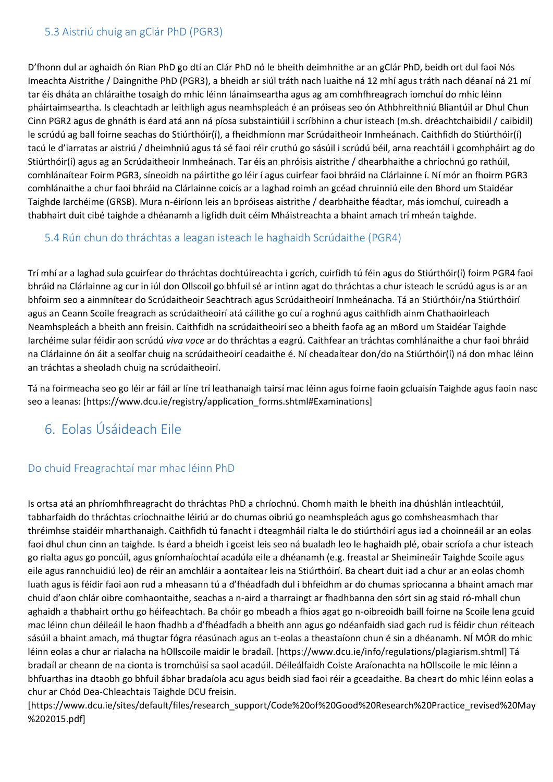#### <span id="page-5-0"></span>5.3 Aistriú chuig an gClár PhD (PGR3)

D'fhonn dul ar aghaidh ón Rian PhD go dtí an Clár PhD nó le bheith deimhnithe ar an gClár PhD, beidh ort dul faoi Nós Imeachta Aistrithe / Daingnithe PhD (PGR3), a bheidh ar siúl tráth nach luaithe ná 12 mhí agus tráth nach déanaí ná 21 mí tar éis dháta an chláraithe tosaigh do mhic léinn lánaimseartha agus ag am comhfhreagrach iomchuí do mhic léinn pháirtaimseartha. Is cleachtadh ar leithligh agus neamhspleách é an próiseas seo ón Athbhreithniú Bliantúil ar Dhul Chun Cinn PGR2 agus de ghnáth is éard atá ann ná píosa substaintiúil i scríbhinn a chur isteach (m.sh. dréachtchaibidil / caibidil) le scrúdú ag ball foirne seachas do Stiúrthóir(í), a fheidhmíonn mar Scrúdaitheoir Inmheánach. Caithfidh do Stiúrthóir(í) tacú le d'iarratas ar aistriú / dheimhniú agus tá sé faoi réir cruthú go sásúil i scrúdú béil, arna reachtáil i gcomhpháirt ag do Stiúrthóir(í) agus ag an Scrúdaitheoir Inmheánach. Tar éis an phróisis aistrithe / dhearbhaithe a chríochnú go rathúil, comhlánaítear Foirm PGR3, síneoidh na páirtithe go léir í agus cuirfear faoi bhráid na Clárlainne í. Ní mór an fhoirm PGR3 comhlánaithe a chur faoi bhráid na Clárlainne coicís ar a laghad roimh an gcéad chruinniú eile den Bhord um Staidéar Taighde Iarchéime (GRSB). Mura n-éiríonn leis an bpróiseas aistrithe / dearbhaithe féadtar, más iomchuí, cuireadh a thabhairt duit cibé taighde a dhéanamh a ligfidh duit céim Mháistreachta a bhaint amach trí mheán taighde.

#### <span id="page-5-1"></span>5.4 Rún chun do thráchtas a leagan isteach le haghaidh Scrúdaithe (PGR4)

Trí mhí ar a laghad sula gcuirfear do thráchtas dochtúireachta i gcrích, cuirfidh tú féin agus do Stiúrthóir(í) foirm PGR4 faoi bhráid na Clárlainne ag cur in iúl don Ollscoil go bhfuil sé ar intinn agat do thráchtas a chur isteach le scrúdú agus is ar an bhfoirm seo a ainmnítear do Scrúdaitheoir Seachtrach agus Scrúdaitheoirí Inmheánacha. Tá an Stiúrthóir/na Stiúrthóirí agus an Ceann Scoile freagrach as scrúdaitheoirí atá cáilithe go cuí a roghnú agus caithfidh ainm Chathaoirleach Neamhspleách a bheith ann freisin. Caithfidh na scrúdaitheoirí seo a bheith faofa ag an mBord um Staidéar Taighde Iarchéime sular féidir aon scrúdú *viva voce* ar do thráchtas a eagrú. Caithfear an tráchtas comhlánaithe a chur faoi bhráid na Clárlainne ón áit a seolfar chuig na scrúdaitheoirí ceadaithe é. Ní cheadaítear don/do na Stiúrthóir(í) ná don mhac léinn an tráchtas a sheoladh chuig na scrúdaitheoirí.

Tá na foirmeacha seo go léir ar fáil ar líne trí leathanaigh tairsí mac léinn agus foirne faoin gcluaisín Taighde agus faoin nasc seo a leanas: [https://www.dcu.ie/registry/application\_forms.shtml#Examinations]

## <span id="page-5-2"></span>6. Eolas Úsáideach Eile

#### <span id="page-5-3"></span>Do chuid Freagrachtaí mar mhac léinn PhD

Is ortsa atá an phríomhfhreagracht do thráchtas PhD a chríochnú. Chomh maith le bheith ina dhúshlán intleachtúil, tabharfaidh do thráchtas críochnaithe léiriú ar do chumas oibriú go neamhspleách agus go comhsheasmhach thar thréimhse staidéir mharthanaigh. Caithfidh tú fanacht i dteagmháil rialta le do stiúrthóirí agus iad a choinneáil ar an eolas faoi dhul chun cinn an taighde. Is éard a bheidh i gceist leis seo ná bualadh leo le haghaidh plé, obair scríofa a chur isteach go rialta agus go poncúil, agus gníomhaíochtaí acadúla eile a dhéanamh (e.g. freastal ar Sheimineáir Taighde Scoile agus eile agus rannchuidiú leo) de réir an amchláir a aontaítear leis na Stiúrthóirí. Ba cheart duit iad a chur ar an eolas chomh luath agus is féidir faoi aon rud a mheasann tú a d'fhéadfadh dul i bhfeidhm ar do chumas spriocanna a bhaint amach mar chuid d'aon chlár oibre comhaontaithe, seachas a n-aird a tharraingt ar fhadhbanna den sórt sin ag staid ró-mhall chun aghaidh a thabhairt orthu go héifeachtach. Ba chóir go mbeadh a fhios agat go n-oibreoidh baill foirne na Scoile lena gcuid mac léinn chun déileáil le haon fhadhb a d'fhéadfadh a bheith ann agus go ndéanfaidh siad gach rud is féidir chun réiteach sásúil a bhaint amach, má thugtar fógra réasúnach agus an t-eolas a theastaíonn chun é sin a dhéanamh. NÍ MÓR do mhic léinn eolas a chur ar rialacha na hOllscoile maidir le bradaíl. [https://www.dcu.ie/info/regulations/plagiarism.shtml] Tá bradaíl ar cheann de na cionta is tromchúisí sa saol acadúil. Déileálfaidh Coiste Araíonachta na hOllscoile le mic léinn a bhfuarthas ina dtaobh go bhfuil ábhar bradaíola acu agus beidh siad faoi réir a gceadaithe. Ba cheart do mhic léinn eolas a chur ar Chód Dea-Chleachtais Taighde DCU freisin.

[https://www.dcu.ie/sites/default/files/research\_support/Code%20of%20Good%20Research%20Practice\_revised%20May %202015.pdf]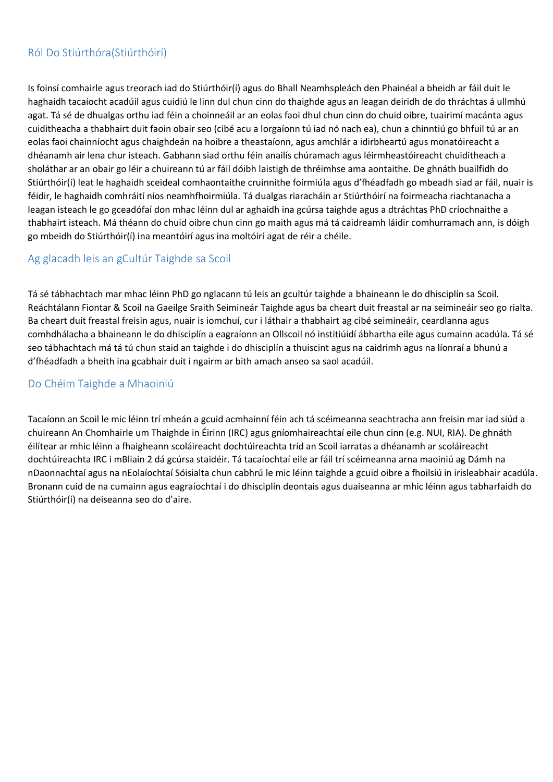#### <span id="page-6-0"></span>Ról Do Stiúrthóra(Stiúrthóirí)

Is foinsí comhairle agus treorach iad do Stiúrthóir(í) agus do Bhall Neamhspleách den Phainéal a bheidh ar fáil duit le haghaidh tacaíocht acadúil agus cuidiú le linn dul chun cinn do thaighde agus an leagan deiridh de do thráchtas á ullmhú agat. Tá sé de dhualgas orthu iad féin a choinneáil ar an eolas faoi dhul chun cinn do chuid oibre, tuairimí macánta agus cuiditheacha a thabhairt duit faoin obair seo (cibé acu a lorgaíonn tú iad nó nach ea), chun a chinntiú go bhfuil tú ar an eolas faoi chainníocht agus chaighdeán na hoibre a theastaíonn, agus amchlár a idirbheartú agus monatóireacht a dhéanamh air lena chur isteach. Gabhann siad orthu féin anailís chúramach agus léirmheastóireacht chuiditheach a sholáthar ar an obair go léir a chuireann tú ar fáil dóibh laistigh de thréimhse ama aontaithe. De ghnáth buailfidh do Stiúrthóir(í) leat le haghaidh sceideal comhaontaithe cruinnithe foirmiúla agus d'fhéadfadh go mbeadh siad ar fáil, nuair is féidir, le haghaidh comhráití níos neamhfhoirmiúla. Tá dualgas riaracháin ar Stiúrthóirí na foirmeacha riachtanacha a leagan isteach le go gceadófaí don mhac léinn dul ar aghaidh ina gcúrsa taighde agus a dtráchtas PhD críochnaithe a thabhairt isteach. Má théann do chuid oibre chun cinn go maith agus má tá caidreamh láidir comhurramach ann, is dóigh go mbeidh do Stiúrthóir(í) ina meantóirí agus ina moltóirí agat de réir a chéile.

#### <span id="page-6-1"></span>Ag glacadh leis an gCultúr Taighde sa Scoil

Tá sé tábhachtach mar mhac léinn PhD go nglacann tú leis an gcultúr taighde a bhaineann le do dhisciplín sa Scoil. Reáchtálann Fiontar & Scoil na Gaeilge Sraith Seimineár Taighde agus ba cheart duit freastal ar na seimineáir seo go rialta. Ba cheart duit freastal freisin agus, nuair is iomchuí, cur i láthair a thabhairt ag cibé seimineáir, ceardlanna agus comhdhálacha a bhaineann le do dhisciplín a eagraíonn an Ollscoil nó institiúidí ábhartha eile agus cumainn acadúla. Tá sé seo tábhachtach má tá tú chun staid an taighde i do dhisciplín a thuiscint agus na caidrimh agus na líonraí a bhunú a d'fhéadfadh a bheith ina gcabhair duit i ngairm ar bith amach anseo sa saol acadúil.

#### <span id="page-6-2"></span>Do Chéim Taighde a Mhaoiniú

Tacaíonn an Scoil le mic léinn trí mheán a gcuid acmhainní féin ach tá scéimeanna seachtracha ann freisin mar iad siúd a chuireann An Chomhairle um Thaighde in Éirinn (IRC) agus gníomhaireachtaí eile chun cinn (e.g. NUI, RIA). De ghnáth éilítear ar mhic léinn a fhaigheann scoláireacht dochtúireachta tríd an Scoil iarratas a dhéanamh ar scoláireacht dochtúireachta IRC i mBliain 2 dá gcúrsa staidéir. Tá tacaíochtaí eile ar fáil trí scéimeanna arna maoiniú ag Dámh na nDaonnachtaí agus na nEolaíochtaí Sóisialta chun cabhrú le mic léinn taighde a gcuid oibre a fhoilsiú in irisleabhair acadúla. Bronann cuid de na cumainn agus eagraíochtaí i do dhisciplín deontais agus duaiseanna ar mhic léinn agus tabharfaidh do Stiúrthóir(í) na deiseanna seo do d'aire.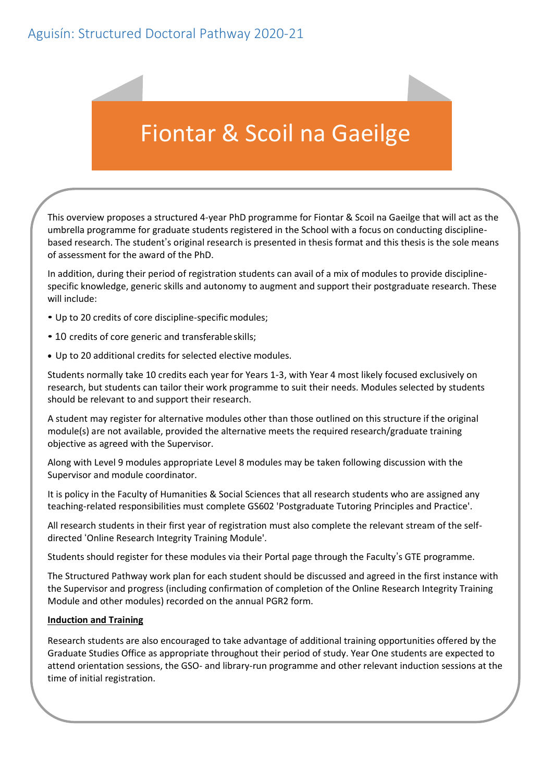# <span id="page-7-0"></span>Aguisín: Structured Doctoral Pathway 2020-21

# Fiontar & Scoil na Gaeilge

This overview proposes a structured 4-year PhD programme for Fiontar & Scoil na Gaeilge that will act as the umbrella programme for graduate students registered in the School with a focus on conducting disciplinebased research. The student's original research is presented in thesis format and this thesis is the sole means of assessment for the award of the PhD.

In addition, during their period of registration students can avail of a mix of modules to provide disciplinespecific knowledge, generic skills and autonomy to augment and support their postgraduate research. These will include:

- Up to 20 credits of core discipline-specific modules;
- 10 credits of core generic and transferable skills;
- Up to 20 additional credits for selected elective modules.

Students normally take 10 credits each year for Years 1-3, with Year 4 most likely focused exclusively on research, but students can tailor their work programme to suit their needs. Modules selected by students should be relevant to and support their research.

A student may register for alternative modules other than those outlined on this structure if the original module(s) are not available, provided the alternative meets the required research/graduate training objective as agreed with the Supervisor.

Along with Level 9 modules appropriate Level 8 modules may be taken following discussion with the Supervisor and module coordinator.

It is policy in the Faculty of Humanities & Social Sciences that all research students who are assigned any teaching-related responsibilities must complete GS602 'Postgraduate Tutoring Principles and Practice'.

All research students in their first year of registration must also complete the relevant stream of the selfdirected 'Online Research Integrity Training Module'.

Students should register for these modules via their Portal page through the Faculty's GTE programme.

The Structured Pathway work plan for each student should be discussed and agreed in the first instance with the Supervisor and progress (including confirmation of completion of the Online Research Integrity Training Module and other modules) recorded on the annual PGR2 form.

#### **Induction and Training**

Research students are also encouraged to take advantage of additional training opportunities offered by the Graduate Studies Office as appropriate throughout their period of study. Year One students are expected to attend orientation sessions, the GSO- and library-run programme and other relevant induction sessions at the time of initial registration.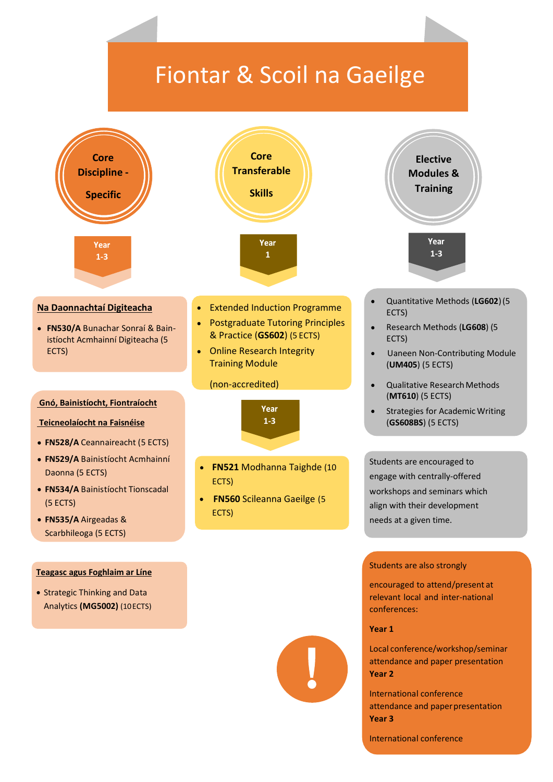# Fiontar & Scoil na Gaeilge



International conference attendance and paper presentation **Year 3**

International conference